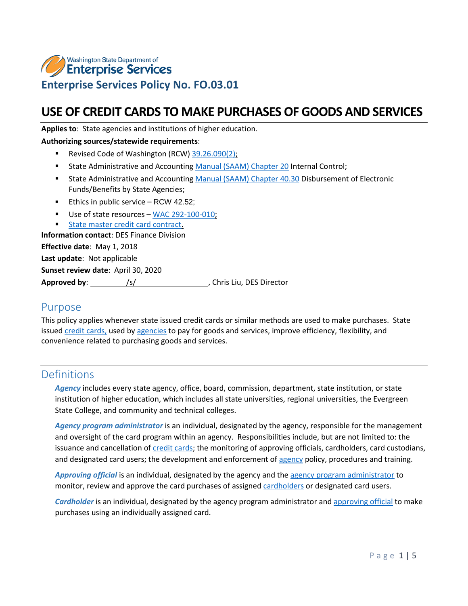

# **USE OF CREDIT CARDS TO MAKE PURCHASES OF GOODS AND SERVICES**

**Applies to**: State agencies and institutions of higher education.

#### **Authorizing sources/statewide requirements**:

- Revised Code of Washington (RCW) [39.26.090\(2\);](http://apps.leg.wa.gov/rcw/default.aspx?cite=39.26&full=true#39.26.090)
- **State Administrative and Accountin[g Manual \(SAAM\) Chapter 20](https://www.ofm.wa.gov/sites/default/files/public/legacy/policy/20.htm) Internal Control;**
- **State Administrative and Accountin[g Manual \(SAAM\) Chapter 40.30](https://www.ofm.wa.gov/sites/default/files/public/legacy/policy/40.30.htm) Disbursement of Electronic** Funds/Benefits by State Agencies;
- **Ethics in public service [RCW 42.52;](http://app.leg.wa.gov/RCW/default.aspx?cite=42.52)**
- Use of state resources [WAC 292-100-010;](http://apps.leg.wa.gov/wac/default.aspx?cite=292-110-010)

[State master credit card contract.](https://des.wa.gov/services/contracting-purchasing/purchasing/purchasing-card-travel-card-and-one-card)

**Information contact**: DES Finance Division

**Effective date**: May 1, 2018

**Last update**: Not applicable

**Sunset review date**: April 30, 2020

**Approved by:** /s/ / /s/ , Chris Liu, DES Director

### Purpose

This policy applies whenever state issued credit cards or similar methods are used to make purchases. State issued [credit cards,](#page-1-0) used by [agencies](#page-0-0) to pay for goods and services, improve efficiency, flexibility, and convenience related to purchasing goods and services.

### <span id="page-0-0"></span>Definitions

*Agency* includes every state agency, office, board, commission, department, state institution, or state institution of higher education, which includes all state universities, regional universities, the Evergreen State College, and community and technical colleges.

<span id="page-0-1"></span>*Agency program administrator* is an individual, designated by the agency, responsible for the management and oversight of the card program within an agency. Responsibilities include, but are not limited to: the issuance and cancellation of [credit cards;](#page-1-0) the monitoring of approving officials, cardholders, card custodians, and designated card users; the development and enforcement of [agency](#page-0-0) policy, procedures and training.

<span id="page-0-3"></span>*Approving official* is an individual, designated by the agency and the [agency program administrator](#page-0-1) to monitor, review and approve the card purchases of assigne[d cardholders](#page-0-2) or designated card users.

<span id="page-0-2"></span>*Cardholder* is an individual, designated by the agency program administrator an[d approving official](#page-0-3) to make purchases using an individually assigned card.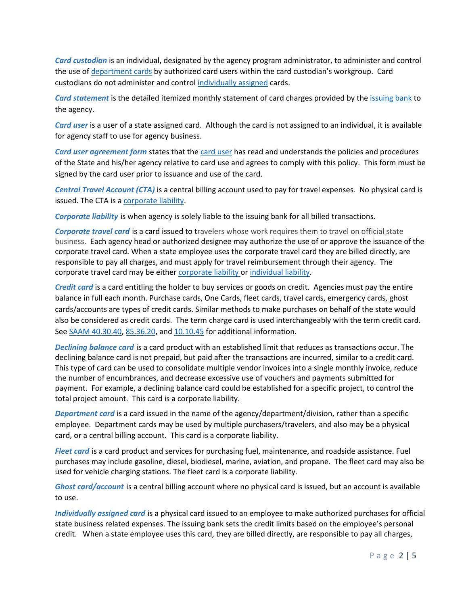<span id="page-1-7"></span>*Card custodian* is an individual, designated by the agency program administrator, to administer and control the use of [department cards](#page-1-1) by authorized card users within the card custodian's workgroup. Card custodians do not administer and control [individually assigned](#page-1-2) cards.

*Card statement* is the detailed itemized monthly statement of card charges provided by the [issuing bank](#page-2-0) to the agency.

<span id="page-1-3"></span>*Card user* is a user of a state assigned card. Although the card is not assigned to an individual, it is available for agency staff to use for agency business.

<span id="page-1-8"></span>*Card user agreement form* states that the [card user](#page-1-3) has read and understands the policies and procedures of the State and his/her agency relative to card use and agrees to comply with this policy. This form must be signed by the card user prior to issuance and use of the card.

<span id="page-1-6"></span>*Central Travel Account (CTA)* is a central billing account used to pay for travel expenses. No physical card is issued. The CTA is [a corporate liability.](#page-1-4)

<span id="page-1-4"></span>*Corporate liability* is when agency is solely liable to the issuing bank for all billed transactions.

<span id="page-1-5"></span>*Corporate travel card* is a card issued to travelers whose work requires them to travel on official state business. Each agency head or authorized designee may authorize the use of or approve the issuance of the corporate travel card. When a state employee uses the corporate travel card they are billed directly, are responsible to pay all charges, and must apply for travel reimbursement through their agency. The corporate travel card may be either [corporate liability](#page-1-4) or [individual liability.](#page-2-1)

<span id="page-1-0"></span>*Credit card* is a card entitling the holder to buy services or goods on credit. Agencies must pay the entire balance in full each month. Purchase cards, One Cards, fleet cards, travel cards, emergency cards, ghost cards/accounts are types of credit cards. Similar methods to make purchases on behalf of the state would also be considered as credit cards. The term charge card is used interchangeably with the term credit card. Se[e SAAM 40.30.40,](https://ofm.wa.gov/sites/default/files/public/legacy/policy/40.30.htm) [85.36.20,](https://ofm.wa.gov/sites/default/files/public/legacy/policy/85.36.htm) and [10.10.45](https://ofm.wa.gov/sites/default/files/public/legacy/policy/10.10.htm) for additional information.

*Declining balance card* is a card product with an established limit that reduces as transactions occur. The declining balance card is not prepaid, but paid after the transactions are incurred, similar to a credit card. This type of card can be used to consolidate multiple vendor invoices into a single monthly invoice, reduce the number of encumbrances, and decrease excessive use of vouchers and payments submitted for payment. For example, a declining balance card could be established for a specific project, to control the total project amount. This card is a corporate liability.

<span id="page-1-1"></span>*Department card* is a card issued in the name of the agency/department/division, rather than a specific employee. Department cards may be used by multiple purchasers/travelers, and also may be a physical card, or a central billing account. This card is a corporate liability.

*Fleet card* is a card product and services for purchasing fuel, maintenance, and roadside assistance. Fuel purchases may include gasoline, diesel, biodiesel, marine, aviation, and propane. The fleet card may also be used for vehicle charging stations. The fleet card is a corporate liability.

*Ghost card/account* is a central billing account where no physical card is issued, but an account is available to use.

<span id="page-1-2"></span>*Individually assigned card* is a physical card issued to an employee to make authorized purchases for official state business related expenses. The issuing bank sets the credit limits based on the employee's personal credit. When a state employee uses this card, they are billed directly, are responsible to pay all charges,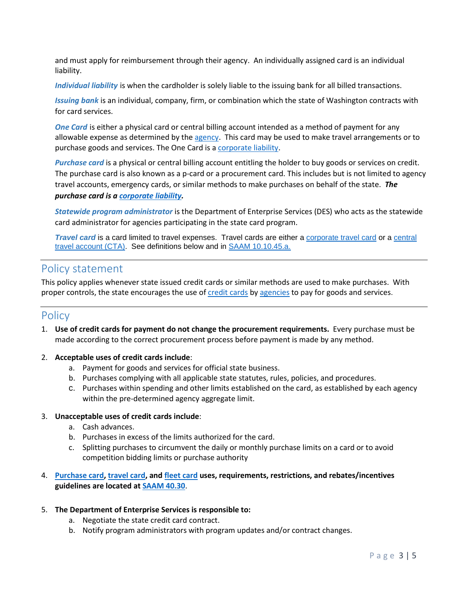and must apply for reimbursement through their agency. An individually assigned card is an individual liability.

<span id="page-2-1"></span>*Individual liability* is when the cardholder is solely liable to the issuing bank for all billed transactions.

<span id="page-2-0"></span>*Issuing bank* is an individual, company, firm, or combination which the state of Washington contracts with for card services.

*One Card* is either a physical card or central billing account intended as a method of payment for any allowable expense as determined by the [agency.](#page-0-0) This card may be used to make travel arrangements or to purchase goods and services. The One Card is a [corporate liability.](#page-1-4)

<span id="page-2-2"></span>*Purchase card* is a physical or central billing account entitling the holder to buy goods or services on credit. The purchase card is also known as a p-card or a procurement card. This includes but is not limited to agency travel accounts, emergency cards, or similar methods to make purchases on behalf of the state. *The purchase card is a [corporate liability.](#page-1-4)*

*Statewide program administrator* is the Department of Enterprise Services (DES) who acts as the statewide card administrator for agencies participating in the state card program.

<span id="page-2-3"></span>*Travel card* is a card limited to travel expenses. Travel cards are either a [corporate travel card](#page-1-5) or a [central](#page-1-6)  [travel account \(CTA\).](#page-1-6) See definitions below and in [SAAM 10.10.45.a.](https://ofm.wa.gov/sites/default/files/public/legacy/policy/10.10.htm)

## Policy statement

This policy applies whenever state issued credit cards or similar methods are used to make purchases. With proper controls, the state encourages the use of [credit cards](#page-1-0) by [agencies](#page-0-0) to pay for goods and services.

### **Policy**

- 1. **Use of credit cards for payment do not change the procurement requirements.** Every purchase must be made according to the correct procurement process before payment is made by any method.
- 2. **Acceptable uses of credit cards include**:
	- a. Payment for goods and services for official state business.
	- b. Purchases complying with all applicable state statutes, rules, policies, and procedures.
	- c. Purchases within spending and other limits established on the card, as established by each agency within the pre-determined agency aggregate limit.
- 3. **Unacceptable uses of credit cards include**:
	- a. Cash advances.
	- b. Purchases in excess of the limits authorized for the card.
	- c. Splitting purchases to circumvent the daily or monthly purchase limits on a card or to avoid competition bidding limits or purchase authority

### 4. **[Purchase card,](#page-2-2) [travel card,](#page-2-3) and [fleet card](#page-2-3) uses, requirements, restrictions, and rebates/incentives guidelines are located a[t SAAM 40.30](https://ofm.wa.gov/sites/default/files/public/legacy/policy/40.30.htm)**.

- 5. **The Department of Enterprise Services is responsible to:**
	- a. Negotiate the state credit card contract.
	- b. Notify program administrators with program updates and/or contract changes.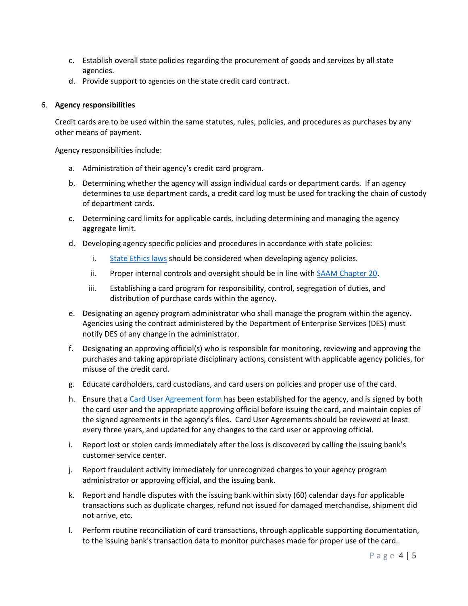- c. Establish overall state policies regarding the procurement of goods and services by all state agencies.
- d. Provide support to [agencies](#page-0-0) on the state credit card contract.

#### 6. **Agency responsibilities**

[Credit cards](#page-1-0) are to be used within the same statutes, rules, policies, and procedures as purchases by any other means of payment.

Agency responsibilities include:

- a. Administration of their agency's credit card program.
- b. Determining whether the agency will assig[n individual cards](#page-1-2) or [department cards.](#page-1-1) If an agency determines to use department cards, a credit card log must be used for tracking the chain of custody of department cards.
- c. Determining card limits for applicable cards, including determining and managing the agency aggregate limit.
- d. Developing agency specific policies and procedures in accordance with state policies:
	- i. [State Ethics laws](http://app.leg.wa.gov/RCW/default.aspx?cite=42.52) should be considered when developing agency policies.
	- ii. Proper internal controls and oversight should be in line wit[h SAAM Chapter 20.](https://www.ofm.wa.gov/sites/default/files/public/legacy/policy/20.htm)
	- iii. Establishing a card program for responsibility, control, segregation of duties, and distribution of purchase cards within the agency.
- e. Designating a[n agency program administrator](#page-0-1) who shall manage the program within the agency. Agencies using the contract administered by the Department of Enterprise Services (DES) must notify DES of any change in the administrator.
- f. Designating a[n approving official\(s\)](#page-0-3) who is responsible for monitoring, reviewing and approving the purchases and taking appropriate disciplinary actions, consistent with applicable agency policies, for misuse of the credit card.
- g. Educat[e cardholders,](#page-0-2) [card custodians,](#page-1-7) and [card users](#page-1-3) on policies and proper use of the card.
- h. Ensure that [a Card User Agreement form](#page-1-8) has been established for the agency, and is signed by both the card user and the appropriate approving official before issuing the card, and maintain copies of the signed agreements in the agency's files. Card User Agreements should be reviewed at least every three years, and updated for any changes to the card user or approving official.
- i. Report lost or stolen cards immediately after the loss is discovered by calling th[e issuing bank's](#page-2-0) customer service center.
- j. Report fraudulent activity immediately for unrecognized charges to your agency program administrator or approving official, and the issuing bank.
- k. Report and handle disputes with the issuing bank within sixty (60) calendar days for applicable transactions such as duplicate charges, refund not issued for damaged merchandise, shipment did not arrive, etc.
- l. Perform routine reconciliation of card transactions, through applicable supporting documentation, to the issuing bank's transaction data to monitor purchases made for proper use of the card.